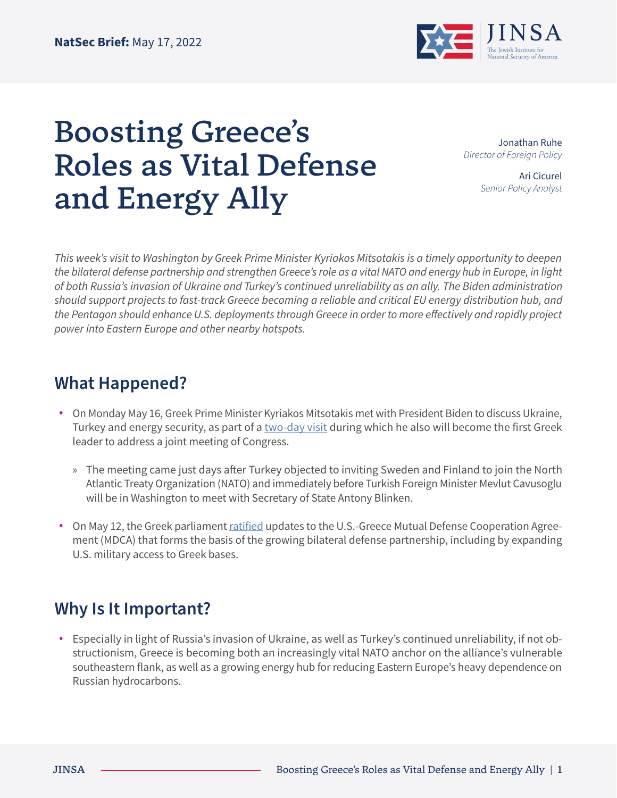

## Boosting Greece's Roles as Vital Defense and Energy Ally

Jonathan Ruhe *Director of Foreign Policy*

> Ari Cicurel *Senior Policy Analyst*

*This week's visit to Washington by Greek Prime Minister Kyriakos Mitsotakis is a timely opportunity to deepen the bilateral defense partnership and strengthen Greece's role as a vital NATO and energy hub in Europe, in light of both Russia's invasion of Ukraine and Turkey's continued unreliability as an ally. The Biden administration should support projects to fast-track Greece becoming a reliable and critical EU energy distribution hub, and the Pentagon should enhance U.S. deployments through Greece in order to more effectively and rapidly project power into Eastern Europe and other nearby hotspots.*

## **What Happened?**

- **•** On Monday May 16, Greek Prime Minister Kyriakos Mitsotakis met with President Biden to discuss Ukraine, Turkey and energy security, as part of a [two-day visit](https://www.reuters.com/world/greek-parliament-approves-defence-pact-change-eve-pms-visit-us-2022-05-12/) during which he also will become the first Greek leader to address a joint meeting of Congress.
	- » The meeting came just days after Turkey objected to inviting Sweden and Finland to join the North Atlantic Treaty Organization (NATO) and immediately before Turkish Foreign Minister Mevlut Cavusoglu will be in Washington to meet with Secretary of State Antony Blinken.
- **•** On May 12, the Greek parliament [ratified](https://www.usnews.com/news/world/articles/2022-05-12/greek-parliament-approves-defence-pact-change-on-eve-of-pms-visit-to-u-s) updates to the U.S.-Greece Mutual Defense Cooperation Agreement (MDCA) that forms the basis of the growing bilateral defense partnership, including by expanding U.S. military access to Greek bases.

## **Why Is It Important?**

**•** Especially in light of Russia's invasion of Ukraine, as well as Turkey's continued unreliability, if not obstructionism, Greece is becoming both an increasingly vital NATO anchor on the alliance's vulnerable southeastern flank, as well as a growing energy hub for reducing Eastern Europe's heavy dependence on Russian hydrocarbons.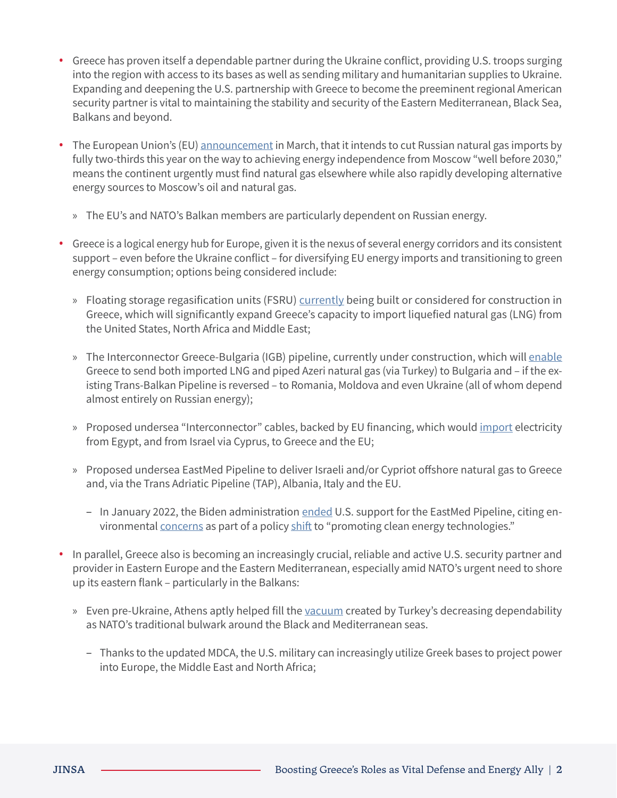- **•** Greece has proven itself a dependable partner during the Ukraine conflict, providing U.S. troops surging into the region with access to its bases as well as sending military and humanitarian supplies to Ukraine. Expanding and deepening the U.S. partnership with Greece to become the preeminent regional American security partner is vital to maintaining the stability and security of the Eastern Mediterranean, Black Sea, Balkans and beyond.
- **•** The European Union's (EU) [announcement](https://www.nytimes.com/2022/03/08/business/european-union-russia-oil-gas.html) in March, that it intends to cut Russian natural gas imports by fully two-thirds this year on the way to achieving energy independence from Moscow "well before 2030," means the continent urgently must find natural gas elsewhere while also rapidly developing alternative energy sources to Moscow's oil and natural gas.
	- » The EU's and NATO's Balkan members are particularly dependent on Russian energy.
- **•** Greece is a logical energy hub for Europe, given it is the nexus of several energy corridors and its consistent support – even before the Ukraine conflict – for diversifying EU energy imports and transitioning to green energy consumption; options being considered include:
	- » Floating storage regasification units (FSRU) [currently](https://balkaninsight.com/2022/05/04/moldova-and-ukraine-to-receive-gas-from-greece/) being built or considered for construction in Greece, which will significantly expand Greece's capacity to import liquefied natural gas (LNG) from the United States, North Africa and Middle East;
	- » The Interconnector Greece-Bulgaria (IGB) pipeline, currently under construction, which will [enable](https://www.aljazeera.com/features/2022/5/10/ukraine-war-speeds-greeces-transition-to-eu-energy-gateway) Greece to send both imported LNG and piped Azeri natural gas (via Turkey) to Bulgaria and – if the existing Trans-Balkan Pipeline is reversed – to Romania, Moldova and even Ukraine (all of whom depend almost entirely on Russian energy);
	- » Proposed undersea "Interconnector" cables, backed by EU financing, which would [import](https://www.aljazeera.com/features/2022/5/10/ukraine-war-speeds-greeces-transition-to-eu-energy-gateway) electricity from Egypt, and from Israel via Cyprus, to Greece and the EU;
	- » Proposed undersea EastMed Pipeline to deliver Israeli and/or Cypriot offshore natural gas to Greece and, via the Trans Adriatic Pipeline (TAP), Albania, Italy and the EU.
		- In January 2022, the Biden administration [ended](https://www.keeptalkinggreece.com/2022/01/09/eastmed-usa-withdraw-support/) U.S. support for the EastMed Pipeline, citing environmental [concerns](https://www.jpost.com/international/article-693866) as part of a policy [shift](https://gr.usembassy.gov/statement-on-east-med-energy-cooperation/) to "promoting clean energy technologies."
- **•** In parallel, Greece also is becoming an increasingly crucial, reliable and active U.S. security partner and provider in Eastern Europe and the Eastern Mediterranean, especially amid NATO's urgent need to shore up its eastern flank – particularly in the Balkans:
	- » Even pre-Ukraine, Athens aptly helped fill the [vacuum](https://jinsa.org/jinsa_report/us-greece-cementing-a-closer-strategic-partnership/) created by Turkey's decreasing dependability as NATO's traditional bulwark around the Black and Mediterranean seas.
		- Thanks to the updated MDCA, the U.S. military can increasingly utilize Greek bases to project power into Europe, the Middle East and North Africa;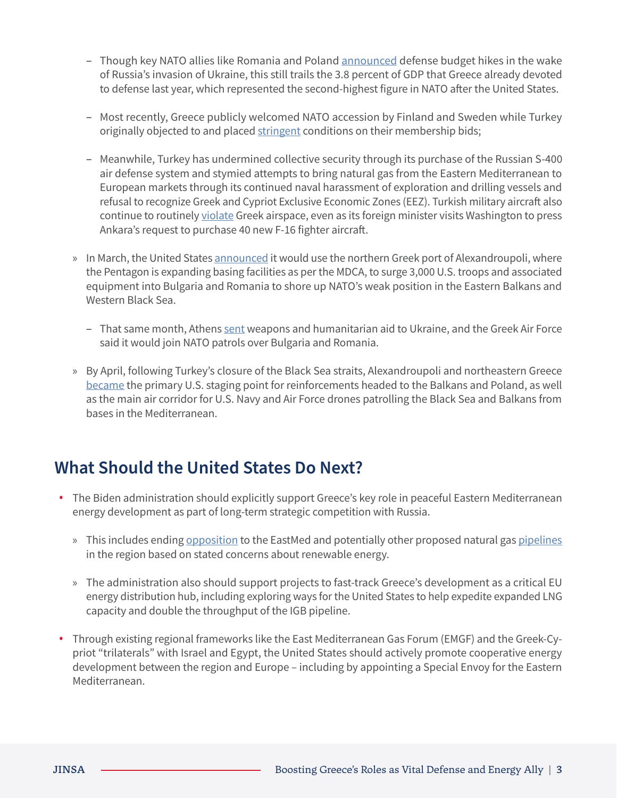- Though key NATO allies like Romania and Poland [announced](https://breakingdefense.com/2022/03/seven-european-nations-have-increased-defense-budgets-in-one-month-who-will-be-next/) defense budget hikes in the wake of Russia's invasion of Ukraine, this still trails the 3.8 percent of GDP that Greece already devoted to defense last year, which represented the second-highest figure in NATO after the United States.
- Most recently, Greece publicly welcomed NATO accession by Finland and Sweden while Turkey originally objected to and placed [stringent](https://www.wsj.com/articles/turkey-lays-out-demands-as-finland-sweden-plan-nato-entry-11652722492) conditions on their membership bids;
- Meanwhile, Turkey has undermined collective security through its purchase of the Russian S-400 air defense system and stymied attempts to bring natural gas from the Eastern Mediterranean to European markets through its continued naval harassment of exploration and drilling vessels and refusal to recognize Greek and Cypriot Exclusive Economic Zones (EEZ). Turkish military aircraft also continue to routinely [violate](https://www.voanews.com/a/greek-leader-set-for-talks-with-biden-over-turkey-energy-/6575065.html) Greek airspace, even as its foreign minister visits Washington to press Ankara's request to purchase 40 new F-16 fighter aircraft.
- » In March, the United States [announced](https://www.thenationalherald.com/russias-ukraine-invasion-sees-greece-taking-bigger-nato-role/) it would use the northern Greek port of Alexandroupoli, where the Pentagon is expanding basing facilities as per the MDCA, to surge 3,000 U.S. troops and associated equipment into Bulgaria and Romania to shore up NATO's weak position in the Eastern Balkans and Western Black Sea.
	- That same month, Athens [sent](https://www.thenationalherald.com/russias-ukraine-invasion-sees-greece-taking-bigger-nato-role/) weapons and humanitarian aid to Ukraine, and the Greek Air Force said it would join NATO patrols over Bulgaria and Romania.
- » By April, following Turkey's closure of the Black Sea straits, Alexandroupoli and northeastern Greece [became](https://www.ekathimerini.com/news/1181900/northern-greek-port-becomes-new-key-to-nato-efforts/) the primary U.S. staging point for reinforcements headed to the Balkans and Poland, as well as the main air corridor for U.S. Navy and Air Force drones patrolling the Black Sea and Balkans from bases in the Mediterranean.

## **What Should the United States Do Next?**

- **•** The Biden administration should explicitly support Greece's key role in peaceful Eastern Mediterranean energy development as part of long-term strategic competition with Russia.
	- » This includes ending [opposition](https://www.jpost.com/international/article-693866) to the EastMed and potentially other proposed natural gas [pipelines](https://www.bloomberg.com/news/articles/2021-02-21/egypt-oil-minister-to-visit-west-bank-israel-for-gas-talks-kley3iwk?sref=m52Hjoet) in the region based on stated concerns about renewable energy.
	- » The administration also should support projects to fast-track Greece's development as a critical EU energy distribution hub, including exploring ways for the United States to help expedite expanded LNG capacity and double the throughput of the IGB pipeline.
- **•** Through existing regional frameworks like the East Mediterranean Gas Forum (EMGF) and the Greek-Cypriot "trilaterals" with Israel and Egypt, the United States should actively promote cooperative energy development between the region and Europe – including by appointing a Special Envoy for the Eastern Mediterranean.